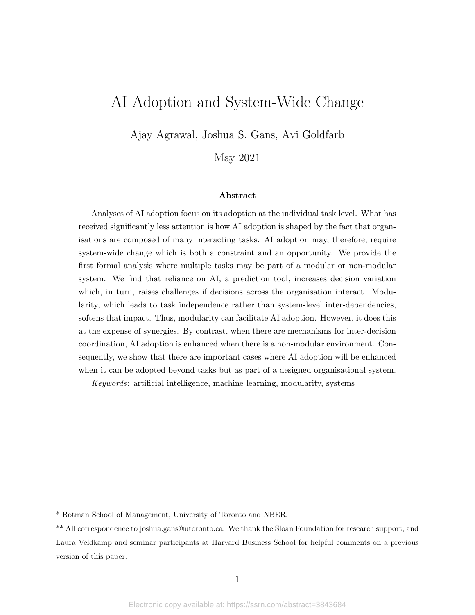# AI Adoption and System-Wide Change

Ajay Agrawal, Joshua S. Gans, Avi Goldfarb

May 2021

#### Abstract

Analyses of AI adoption focus on its adoption at the individual task level. What has received significantly less attention is how AI adoption is shaped by the fact that organisations are composed of many interacting tasks. AI adoption may, therefore, require system-wide change which is both a constraint and an opportunity. We provide the first formal analysis where multiple tasks may be part of a modular or non-modular system. We find that reliance on AI, a prediction tool, increases decision variation which, in turn, raises challenges if decisions across the organisation interact. Modularity, which leads to task independence rather than system-level inter-dependencies, softens that impact. Thus, modularity can facilitate AI adoption. However, it does this at the expense of synergies. By contrast, when there are mechanisms for inter-decision coordination, AI adoption is enhanced when there is a non-modular environment. Consequently, we show that there are important cases where AI adoption will be enhanced when it can be adopted beyond tasks but as part of a designed organisational system.

Keywords: artificial intelligence, machine learning, modularity, systems

\* Rotman School of Management, University of Toronto and NBER.

\*\* All correspondence to joshua.gans@utoronto.ca. We thank the Sloan Foundation for research support, and Laura Veldkamp and seminar participants at Harvard Business School for helpful comments on a previous version of this paper.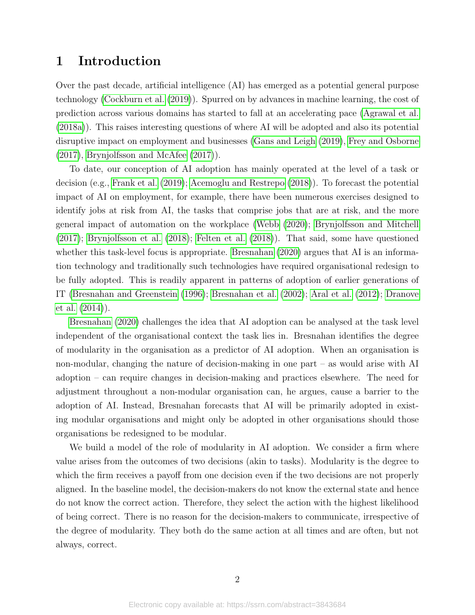### 1 Introduction

Over the past decade, artificial intelligence (AI) has emerged as a potential general purpose technology [\(Cockburn et al.](#page-18-0) [\(2019\)](#page-18-0)). Spurred on by advances in machine learning, the cost of prediction across various domains has started to fall at an accelerating pace [\(Agrawal et al.](#page-17-0) [\(2018a\)](#page-17-0)). This raises interesting questions of where AI will be adopted and also its potential disruptive impact on employment and businesses [\(Gans and Leigh](#page-18-1) [\(2019\)](#page-18-1), [Frey and Osborne](#page-18-2) [\(2017\)](#page-18-2), [Brynjolfsson and McAfee](#page-17-1) [\(2017\)](#page-17-1)).

To date, our conception of AI adoption has mainly operated at the level of a task or decision (e.g., [Frank et al.](#page-18-3) [\(2019\)](#page-18-3); [Acemoglu and Restrepo](#page-17-2) [\(2018\)](#page-17-2)). To forecast the potential impact of AI on employment, for example, there have been numerous exercises designed to identify jobs at risk from AI, the tasks that comprise jobs that are at risk, and the more general impact of automation on the workplace [\(Webb](#page-18-4) [\(2020\)](#page-18-4); [Brynjolfsson and Mitchell](#page-17-3) [\(2017\)](#page-17-3); [Brynjolfsson et al.](#page-17-4) [\(2018\)](#page-17-4); [Felten et al.](#page-18-5) [\(2018\)](#page-18-5)). That said, some have questioned whether this task-level focus is appropriate. [Bresnahan](#page-17-5) [\(2020\)](#page-17-5) argues that AI is an information technology and traditionally such technologies have required organisational redesign to be fully adopted. This is readily apparent in patterns of adoption of earlier generations of IT [\(Bresnahan and Greenstein](#page-17-6) [\(1996\)](#page-17-6); [Bresnahan et al.](#page-17-7) [\(2002\)](#page-17-7); [Aral et al.](#page-17-8) [\(2012\)](#page-17-8); [Dranove](#page-18-6) [et al.](#page-18-6) [\(2014\)](#page-18-6)).

[Bresnahan](#page-17-5) [\(2020\)](#page-17-5) challenges the idea that AI adoption can be analysed at the task level independent of the organisational context the task lies in. Bresnahan identifies the degree of modularity in the organisation as a predictor of AI adoption. When an organisation is non-modular, changing the nature of decision-making in one part – as would arise with AI adoption – can require changes in decision-making and practices elsewhere. The need for adjustment throughout a non-modular organisation can, he argues, cause a barrier to the adoption of AI. Instead, Bresnahan forecasts that AI will be primarily adopted in existing modular organisations and might only be adopted in other organisations should those organisations be redesigned to be modular.

We build a model of the role of modularity in AI adoption. We consider a firm where value arises from the outcomes of two decisions (akin to tasks). Modularity is the degree to which the firm receives a payoff from one decision even if the two decisions are not properly aligned. In the baseline model, the decision-makers do not know the external state and hence do not know the correct action. Therefore, they select the action with the highest likelihood of being correct. There is no reason for the decision-makers to communicate, irrespective of the degree of modularity. They both do the same action at all times and are often, but not always, correct.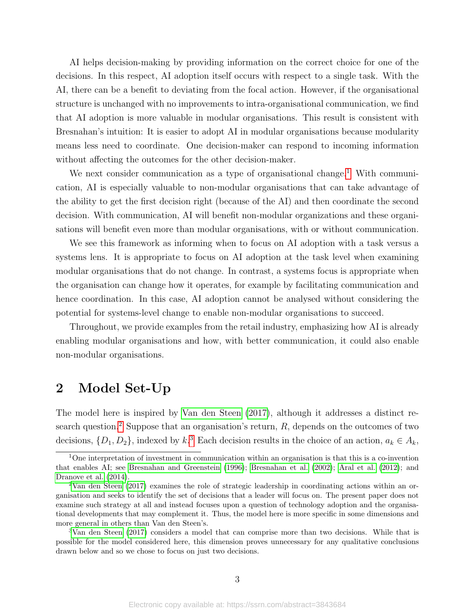AI helps decision-making by providing information on the correct choice for one of the decisions. In this respect, AI adoption itself occurs with respect to a single task. With the AI, there can be a benefit to deviating from the focal action. However, if the organisational structure is unchanged with no improvements to intra-organisational communication, we find that AI adoption is more valuable in modular organisations. This result is consistent with Bresnahan's intuition: It is easier to adopt AI in modular organisations because modularity means less need to coordinate. One decision-maker can respond to incoming information without affecting the outcomes for the other decision-maker.

We next consider communication as a type of organisational change.<sup>[1](#page-2-0)</sup> With communication, AI is especially valuable to non-modular organisations that can take advantage of the ability to get the first decision right (because of the AI) and then coordinate the second decision. With communication, AI will benefit non-modular organizations and these organisations will benefit even more than modular organisations, with or without communication.

We see this framework as informing when to focus on AI adoption with a task versus a systems lens. It is appropriate to focus on AI adoption at the task level when examining modular organisations that do not change. In contrast, a systems focus is appropriate when the organisation can change how it operates, for example by facilitating communication and hence coordination. In this case, AI adoption cannot be analysed without considering the potential for systems-level change to enable non-modular organisations to succeed.

Throughout, we provide examples from the retail industry, emphasizing how AI is already enabling modular organisations and how, with better communication, it could also enable non-modular organisations.

### 2 Model Set-Up

The model here is inspired by [Van den Steen](#page-18-7) [\(2017\)](#page-18-7), although it addresses a distinct re-search question.<sup>[2](#page-2-1)</sup> Suppose that an organisation's return,  $R$ , depends on the outcomes of two decisions,  $\{D_1, D_2\}$ , indexed by k<sup>[3](#page-2-2)</sup> Each decision results in the choice of an action,  $a_k \in A_k$ ,

<span id="page-2-0"></span><sup>1</sup>One interpretation of investment in communication within an organisation is that this is a co-invention that enables AI; see [Bresnahan and Greenstein](#page-17-6) [\(1996\)](#page-17-6); [Bresnahan et al.](#page-17-7) [\(2002\)](#page-17-7); [Aral et al.](#page-17-8) [\(2012\)](#page-17-8); and [Dranove et al.](#page-18-6) [\(2014\)](#page-18-6).

<span id="page-2-1"></span><sup>2</sup>[Van den Steen](#page-18-7) [\(2017\)](#page-18-7) examines the role of strategic leadership in coordinating actions within an organisation and seeks to identify the set of decisions that a leader will focus on. The present paper does not examine such strategy at all and instead focuses upon a question of technology adoption and the organisational developments that may complement it. Thus, the model here is more specific in some dimensions and more general in others than Van den Steen's.

<span id="page-2-2"></span><sup>3</sup>[Van den Steen](#page-18-7) [\(2017\)](#page-18-7) considers a model that can comprise more than two decisions. While that is possible for the model considered here, this dimension proves unnecessary for any qualitative conclusions drawn below and so we chose to focus on just two decisions.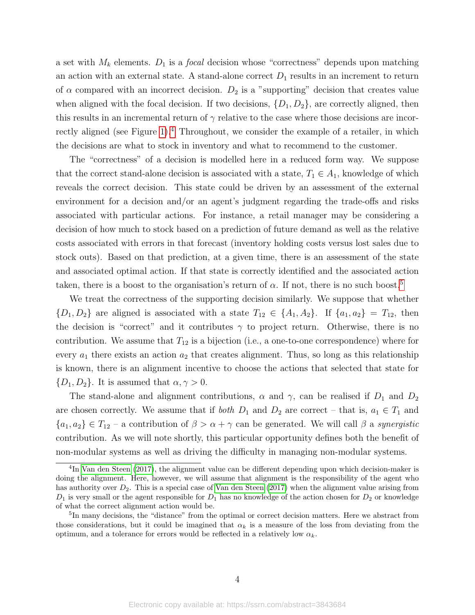a set with  $M_k$  elements.  $D_1$  is a *focal* decision whose "correctness" depends upon matching an action with an external state. A stand-alone correct  $D_1$  results in an increment to return of  $\alpha$  compared with an incorrect decision.  $D_2$  is a "supporting" decision that creates value when aligned with the focal decision. If two decisions,  $\{D_1, D_2\}$ , are correctly aligned, then this results in an incremental return of  $\gamma$  relative to the case where those decisions are incor-rectly aligned (see Figure [1\)](#page-4-0).<sup>[4](#page-3-0)</sup> Throughout, we consider the example of a retailer, in which the decisions are what to stock in inventory and what to recommend to the customer.

The "correctness" of a decision is modelled here in a reduced form way. We suppose that the correct stand-alone decision is associated with a state,  $T_1 \in A_1$ , knowledge of which reveals the correct decision. This state could be driven by an assessment of the external environment for a decision and/or an agent's judgment regarding the trade-offs and risks associated with particular actions. For instance, a retail manager may be considering a decision of how much to stock based on a prediction of future demand as well as the relative costs associated with errors in that forecast (inventory holding costs versus lost sales due to stock outs). Based on that prediction, at a given time, there is an assessment of the state and associated optimal action. If that state is correctly identified and the associated action taken, there is a boost to the organisation's return of  $\alpha$ . If not, there is no such boost.<sup>[5](#page-3-1)</sup>

We treat the correctness of the supporting decision similarly. We suppose that whether  $\{D_1, D_2\}$  are aligned is associated with a state  $T_{12} \in \{A_1, A_2\}$ . If  $\{a_1, a_2\} = T_{12}$ , then the decision is "correct" and it contributes  $\gamma$  to project return. Otherwise, there is no contribution. We assume that  $T_{12}$  is a bijection (i.e., a one-to-one correspondence) where for every  $a_1$  there exists an action  $a_2$  that creates alignment. Thus, so long as this relationship is known, there is an alignment incentive to choose the actions that selected that state for  $\{D_1, D_2\}$ . It is assumed that  $\alpha, \gamma > 0$ .

The stand-alone and alignment contributions,  $\alpha$  and  $\gamma$ , can be realised if  $D_1$  and  $D_2$ are chosen correctly. We assume that if *both*  $D_1$  and  $D_2$  are correct – that is,  $a_1 \in T_1$  and  ${a_1, a_2} \in T_{12}$  – a contribution of  $\beta > \alpha + \gamma$  can be generated. We will call  $\beta$  a synergistic contribution. As we will note shortly, this particular opportunity defines both the benefit of non-modular systems as well as driving the difficulty in managing non-modular systems.

<span id="page-3-0"></span><sup>&</sup>lt;sup>4</sup>In [Van den Steen](#page-18-7) [\(2017\)](#page-18-7), the alignment value can be different depending upon which decision-maker is doing the alignment. Here, however, we will assume that alignment is the responsibility of the agent who has authority over  $D_2$ . This is a special case of [Van den Steen](#page-18-7) [\(2017\)](#page-18-7) when the alignment value arising from  $D_1$  is very small or the agent responsible for  $D_1$  has no knowledge of the action chosen for  $D_2$  or knowledge of what the correct alignment action would be.

<span id="page-3-1"></span><sup>&</sup>lt;sup>5</sup>In many decisions, the "distance" from the optimal or correct decision matters. Here we abstract from those considerations, but it could be imagined that  $\alpha_k$  is a measure of the loss from deviating from the optimum, and a tolerance for errors would be reflected in a relatively low  $\alpha_k$ .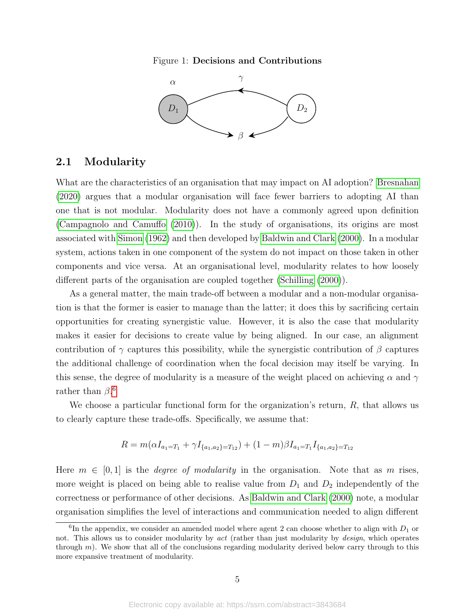#### <span id="page-4-0"></span>Figure 1: Decisions and Contributions



### 2.1 Modularity

What are the characteristics of an organisation that may impact on AI adoption? [Bresnahan](#page-17-5) [\(2020\)](#page-17-5) argues that a modular organisation will face fewer barriers to adopting AI than one that is not modular. Modularity does not have a commonly agreed upon definition [\(Campagnolo and Camuffo](#page-18-8) [\(2010\)](#page-18-8)). In the study of organisations, its origins are most associated with [Simon](#page-18-9) [\(1962\)](#page-18-9) and then developed by [Baldwin and Clark](#page-17-9) [\(2000\)](#page-17-9). In a modular system, actions taken in one component of the system do not impact on those taken in other components and vice versa. At an organisational level, modularity relates to how loosely different parts of the organisation are coupled together [\(Schilling](#page-18-10) [\(2000\)](#page-18-10)).

As a general matter, the main trade-off between a modular and a non-modular organisation is that the former is easier to manage than the latter; it does this by sacrificing certain opportunities for creating synergistic value. However, it is also the case that modularity makes it easier for decisions to create value by being aligned. In our case, an alignment contribution of  $\gamma$  captures this possibility, while the synergistic contribution of  $\beta$  captures the additional challenge of coordination when the focal decision may itself be varying. In this sense, the degree of modularity is a measure of the weight placed on achieving  $\alpha$  and  $\gamma$ rather than  $\beta$ .<sup>[6](#page-4-1)</sup>

We choose a particular functional form for the organization's return, R, that allows us to clearly capture these trade-offs. Specifically, we assume that:

$$
R = m(\alpha I_{a_1 = T_1} + \gamma I_{\{a_1, a_2\} = T_{12}}) + (1 - m)\beta I_{a_1 = T_1} I_{\{a_1, a_2\} = T_{12}}
$$

Here  $m \in [0, 1]$  is the *degree of modularity* in the organisation. Note that as m rises, more weight is placed on being able to realise value from  $D_1$  and  $D_2$  independently of the correctness or performance of other decisions. As [Baldwin and Clark](#page-17-9) [\(2000\)](#page-17-9) note, a modular organisation simplifies the level of interactions and communication needed to align different

<span id="page-4-1"></span><sup>&</sup>lt;sup>6</sup>In the appendix, we consider an amended model where agent 2 can choose whether to align with  $D_1$  or not. This allows us to consider modularity by act (rather than just modularity by design, which operates through  $m$ ). We show that all of the conclusions regarding modularity derived below carry through to this more expansive treatment of modularity.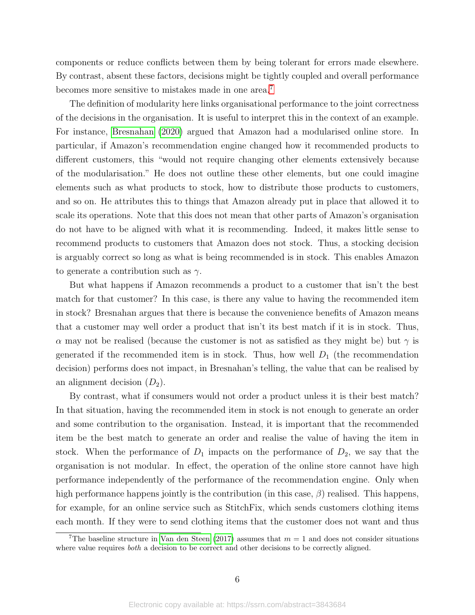components or reduce conflicts between them by being tolerant for errors made elsewhere. By contrast, absent these factors, decisions might be tightly coupled and overall performance becomes more sensitive to mistakes made in one area.[7](#page-5-0)

The definition of modularity here links organisational performance to the joint correctness of the decisions in the organisation. It is useful to interpret this in the context of an example. For instance, [Bresnahan](#page-17-5) [\(2020\)](#page-17-5) argued that Amazon had a modularised online store. In particular, if Amazon's recommendation engine changed how it recommended products to different customers, this "would not require changing other elements extensively because of the modularisation." He does not outline these other elements, but one could imagine elements such as what products to stock, how to distribute those products to customers, and so on. He attributes this to things that Amazon already put in place that allowed it to scale its operations. Note that this does not mean that other parts of Amazon's organisation do not have to be aligned with what it is recommending. Indeed, it makes little sense to recommend products to customers that Amazon does not stock. Thus, a stocking decision is arguably correct so long as what is being recommended is in stock. This enables Amazon to generate a contribution such as  $\gamma$ .

But what happens if Amazon recommends a product to a customer that isn't the best match for that customer? In this case, is there any value to having the recommended item in stock? Bresnahan argues that there is because the convenience benefits of Amazon means that a customer may well order a product that isn't its best match if it is in stock. Thus, α may not be realised (because the customer is not as satisfied as they might be) but  $\gamma$  is generated if the recommended item is in stock. Thus, how well  $D_1$  (the recommendation decision) performs does not impact, in Bresnahan's telling, the value that can be realised by an alignment decision  $(D_2)$ .

By contrast, what if consumers would not order a product unless it is their best match? In that situation, having the recommended item in stock is not enough to generate an order and some contribution to the organisation. Instead, it is important that the recommended item be the best match to generate an order and realise the value of having the item in stock. When the performance of  $D_1$  impacts on the performance of  $D_2$ , we say that the organisation is not modular. In effect, the operation of the online store cannot have high performance independently of the performance of the recommendation engine. Only when high performance happens jointly is the contribution (in this case,  $\beta$ ) realised. This happens, for example, for an online service such as StitchFix, which sends customers clothing items each month. If they were to send clothing items that the customer does not want and thus

<span id="page-5-0"></span><sup>&</sup>lt;sup>7</sup>The baseline structure in [Van den Steen](#page-18-7) [\(2017\)](#page-18-7) assumes that  $m = 1$  and does not consider situations where value requires *both* a decision to be correct and other decisions to be correctly aligned.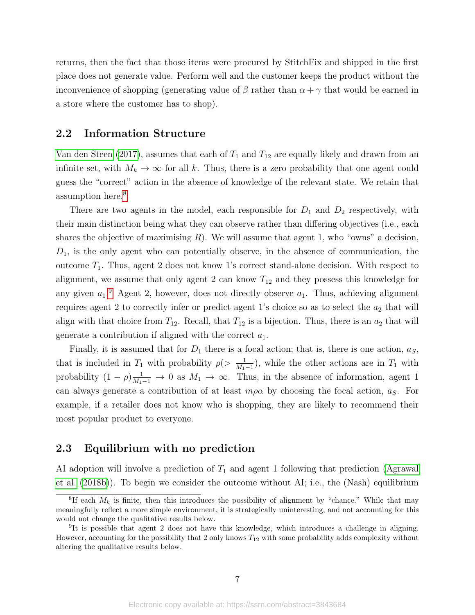returns, then the fact that those items were procured by StitchFix and shipped in the first place does not generate value. Perform well and the customer keeps the product without the inconvenience of shopping (generating value of  $\beta$  rather than  $\alpha + \gamma$  that would be earned in a store where the customer has to shop).

### 2.2 Information Structure

[Van den Steen](#page-18-7) [\(2017\)](#page-18-7), assumes that each of  $T_1$  and  $T_{12}$  are equally likely and drawn from an infinite set, with  $M_k \to \infty$  for all k. Thus, there is a zero probability that one agent could guess the "correct" action in the absence of knowledge of the relevant state. We retain that assumption here.<sup>[8](#page-6-0)</sup>

There are two agents in the model, each responsible for  $D_1$  and  $D_2$  respectively, with their main distinction being what they can observe rather than differing objectives (i.e., each shares the objective of maximising  $R$ ). We will assume that agent 1, who "owns" a decision,  $D_1$ , is the only agent who can potentially observe, in the absence of communication, the outcome  $T_1$ . Thus, agent 2 does not know 1's correct stand-alone decision. With respect to alignment, we assume that only agent 2 can know  $T_{12}$  and they possess this knowledge for any given  $a_1$ <sup>[9](#page-6-1)</sup> Agent 2, however, does not directly observe  $a_1$ . Thus, achieving alignment requires agent 2 to correctly infer or predict agent 1's choice so as to select the  $a_2$  that will align with that choice from  $T_{12}$ . Recall, that  $T_{12}$  is a bijection. Thus, there is an  $a_2$  that will generate a contribution if aligned with the correct  $a_1$ .

Finally, it is assumed that for  $D_1$  there is a focal action; that is, there is one action,  $a_S$ , that is included in  $T_1$  with probability  $\rho \geq \frac{1}{M_1}$  $\frac{1}{M_1-1}$ , while the other actions are in  $T_1$  with probability  $(1 - \rho) \frac{1}{M_1 - 1} \to 0$  as  $M_1 \to \infty$ . Thus, in the absence of information, agent 1 can always generate a contribution of at least  $m\rho\alpha$  by choosing the focal action,  $a_S$ . For example, if a retailer does not know who is shopping, they are likely to recommend their most popular product to everyone.

#### 2.3 Equilibrium with no prediction

AI adoption will involve a prediction of  $T_1$  and agent 1 following that prediction [\(Agrawal](#page-17-10) [et al.](#page-17-10) [\(2018b\)](#page-17-10)). To begin we consider the outcome without AI; i.e., the (Nash) equilibrium

<span id="page-6-0"></span><sup>&</sup>lt;sup>8</sup>If each  $M_k$  is finite, then this introduces the possibility of alignment by "chance." While that may meaningfully reflect a more simple environment, it is strategically uninteresting, and not accounting for this would not change the qualitative results below.

<span id="page-6-1"></span><sup>&</sup>lt;sup>9</sup>It is possible that agent 2 does not have this knowledge, which introduces a challenge in aligning. However, accounting for the possibility that 2 only knows  $T_{12}$  with some probability adds complexity without altering the qualitative results below.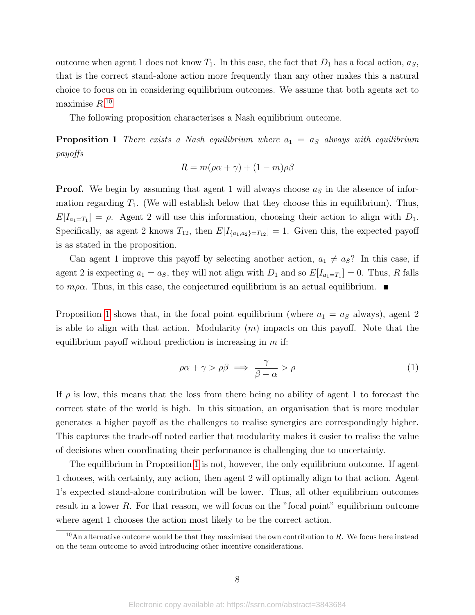outcome when agent 1 does not know  $T_1$ . In this case, the fact that  $D_1$  has a focal action,  $a_S$ , that is the correct stand-alone action more frequently than any other makes this a natural choice to focus on in considering equilibrium outcomes. We assume that both agents act to maximise  $R^{10}$  $R^{10}$  $R^{10}$ 

The following proposition characterises a Nash equilibrium outcome.

**Proposition 1** There exists a Nash equilibrium where  $a_1 = a_S$  always with equilibrium payoffs

<span id="page-7-1"></span>
$$
R = m(\rho \alpha + \gamma) + (1 - m)\rho \beta
$$

**Proof.** We begin by assuming that agent 1 will always choose  $a<sub>S</sub>$  in the absence of information regarding  $T_1$ . (We will establish below that they choose this in equilibrium). Thus,  $E[I_{a_1=T_1}] = \rho$ . Agent 2 will use this information, choosing their action to align with  $D_1$ . Specifically, as agent 2 knows  $T_{12}$ , then  $E[I_{\{a_1,a_2\}=T_{12}}]=1$ . Given this, the expected payoff is as stated in the proposition.

Can agent 1 improve this payoff by selecting another action,  $a_1 \neq a_S$ ? In this case, if agent 2 is expecting  $a_1 = a_S$ , they will not align with  $D_1$  and so  $E[I_{a_1=T_1}] = 0$ . Thus, R falls to  $m\rho\alpha$ . Thus, in this case, the conjectured equilibrium is an actual equilibrium.  $\blacksquare$ 

Proposition [1](#page-7-1) shows that, in the focal point equilibrium (where  $a_1 = a_S$  always), agent 2 is able to align with that action. Modularity  $(m)$  impacts on this payoff. Note that the equilibrium payoff without prediction is increasing in  $m$  if:

<span id="page-7-2"></span>
$$
\rho \alpha + \gamma > \rho \beta \implies \frac{\gamma}{\beta - \alpha} > \rho \tag{1}
$$

If  $\rho$  is low, this means that the loss from there being no ability of agent 1 to forecast the correct state of the world is high. In this situation, an organisation that is more modular generates a higher payoff as the challenges to realise synergies are correspondingly higher. This captures the trade-off noted earlier that modularity makes it easier to realise the value of decisions when coordinating their performance is challenging due to uncertainty.

The equilibrium in Proposition [1](#page-7-1) is not, however, the only equilibrium outcome. If agent 1 chooses, with certainty, any action, then agent 2 will optimally align to that action. Agent 1's expected stand-alone contribution will be lower. Thus, all other equilibrium outcomes result in a lower R. For that reason, we will focus on the "focal point" equilibrium outcome where agent 1 chooses the action most likely to be the correct action.

<span id="page-7-0"></span> $10$ An alternative outcome would be that they maximised the own contribution to R. We focus here instead on the team outcome to avoid introducing other incentive considerations.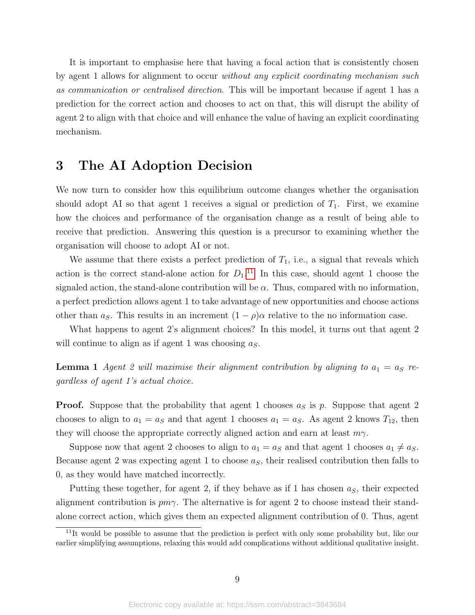It is important to emphasise here that having a focal action that is consistently chosen by agent 1 allows for alignment to occur without any explicit coordinating mechanism such as communication or centralised direction. This will be important because if agent 1 has a prediction for the correct action and chooses to act on that, this will disrupt the ability of agent 2 to align with that choice and will enhance the value of having an explicit coordinating mechanism.

### 3 The AI Adoption Decision

We now turn to consider how this equilibrium outcome changes whether the organisation should adopt AI so that agent 1 receives a signal or prediction of  $T_1$ . First, we examine how the choices and performance of the organisation change as a result of being able to receive that prediction. Answering this question is a precursor to examining whether the organisation will choose to adopt AI or not.

We assume that there exists a perfect prediction of  $T_1$ , i.e., a signal that reveals which action is the correct stand-alone action for  $D_1$ .<sup>[11](#page-8-0)</sup> In this case, should agent 1 choose the signaled action, the stand-alone contribution will be  $\alpha$ . Thus, compared with no information, a perfect prediction allows agent 1 to take advantage of new opportunities and choose actions other than  $a_S$ . This results in an increment  $(1 - \rho)\alpha$  relative to the no information case.

What happens to agent 2's alignment choices? In this model, it turns out that agent 2 will continue to align as if agent 1 was choosing  $a<sub>S</sub>$ .

<span id="page-8-1"></span>**Lemma 1** Agent 2 will maximise their alignment contribution by aligning to  $a_1 = a_S$  regardless of agent 1's actual choice.

**Proof.** Suppose that the probability that agent 1 chooses  $a<sub>S</sub>$  is p. Suppose that agent 2 chooses to align to  $a_1 = a_S$  and that agent 1 chooses  $a_1 = a_S$ . As agent 2 knows  $T_{12}$ , then they will choose the appropriate correctly aligned action and earn at least  $m\gamma$ .

Suppose now that agent 2 chooses to align to  $a_1 = a_S$  and that agent 1 chooses  $a_1 \neq a_S$ . Because agent 2 was expecting agent 1 to choose  $a<sub>S</sub>$ , their realised contribution then falls to 0, as they would have matched incorrectly.

Putting these together, for agent 2, if they behave as if 1 has chosen  $a<sub>S</sub>$ , their expected alignment contribution is  $pm\gamma$ . The alternative is for agent 2 to choose instead their standalone correct action, which gives them an expected alignment contribution of 0. Thus, agent

<span id="page-8-0"></span> $11$ It would be possible to assume that the prediction is perfect with only some probability but, like our earlier simplifying assumptions, relaxing this would add complications without additional qualitative insight.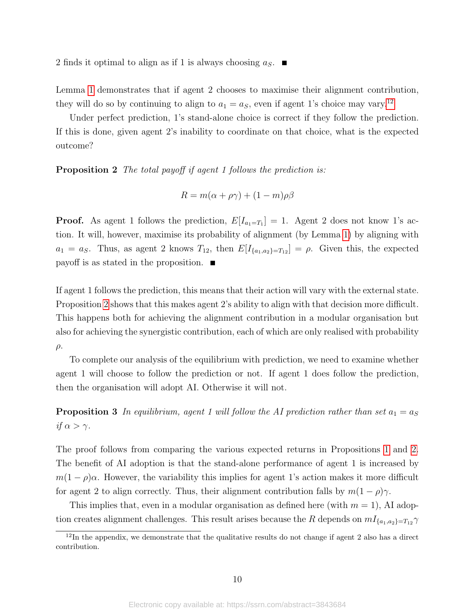2 finds it optimal to align as if 1 is always choosing  $a_S$ .

Lemma [1](#page-8-1) demonstrates that if agent 2 chooses to maximise their alignment contribution, they will do so by continuing to align to  $a_1 = a_S$ , even if agent 1's choice may vary.<sup>[12](#page-9-0)</sup>

Under perfect prediction, 1's stand-alone choice is correct if they follow the prediction. If this is done, given agent 2's inability to coordinate on that choice, what is the expected outcome?

<span id="page-9-1"></span>**Proposition 2** The total payoff if agent 1 follows the prediction is:

$$
R = m(\alpha + \rho \gamma) + (1 - m)\rho\beta
$$

**Proof.** As agent 1 follows the prediction,  $E[I_{a_1=T_1}] = 1$ . Agent 2 does not know 1's action. It will, however, maximise its probability of alignment (by Lemma [1\)](#page-8-1) by aligning with  $a_1 = a_S$ . Thus, as agent 2 knows  $T_{12}$ , then  $E[I_{\{a_1, a_2\} = T_{12}}] = \rho$ . Given this, the expected payoff is as stated in the proposition.  $\blacksquare$ 

If agent 1 follows the prediction, this means that their action will vary with the external state. Proposition [2](#page-9-1) shows that this makes agent 2's ability to align with that decision more difficult. This happens both for achieving the alignment contribution in a modular organisation but also for achieving the synergistic contribution, each of which are only realised with probability  $\rho$ .

To complete our analysis of the equilibrium with prediction, we need to examine whether agent 1 will choose to follow the prediction or not. If agent 1 does follow the prediction, then the organisation will adopt AI. Otherwise it will not.

<span id="page-9-2"></span>**Proposition 3** In equilibrium, agent 1 will follow the AI prediction rather than set  $a_1 = a_S$ if  $\alpha > \gamma$ .

The proof follows from comparing the various expected returns in Propositions [1](#page-7-1) and [2.](#page-9-1) The benefit of AI adoption is that the stand-alone performance of agent 1 is increased by  $m(1-\rho)\alpha$ . However, the variability this implies for agent 1's action makes it more difficult for agent 2 to align correctly. Thus, their alignment contribution falls by  $m(1 - \rho)\gamma$ .

This implies that, even in a modular organisation as defined here (with  $m = 1$ ), AI adoption creates alignment challenges. This result arises because the R depends on  $mI_{\{a_1,a_2\}=T_{12}}\gamma$ 

<span id="page-9-0"></span> $12$ In the appendix, we demonstrate that the qualitative results do not change if agent 2 also has a direct contribution.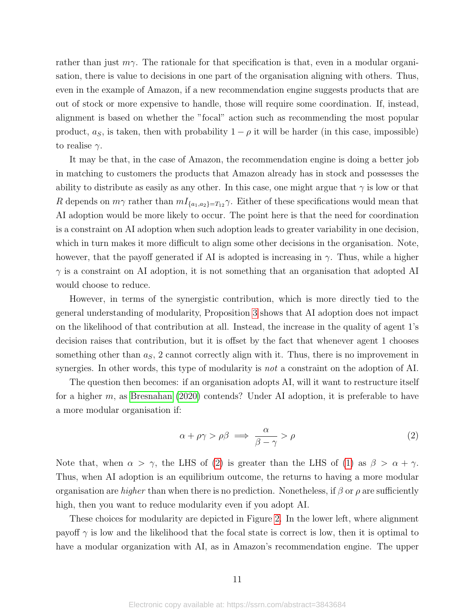rather than just  $m\gamma$ . The rationale for that specification is that, even in a modular organisation, there is value to decisions in one part of the organisation aligning with others. Thus, even in the example of Amazon, if a new recommendation engine suggests products that are out of stock or more expensive to handle, those will require some coordination. If, instead, alignment is based on whether the "focal" action such as recommending the most popular product,  $a_S$ , is taken, then with probability  $1 - \rho$  it will be harder (in this case, impossible) to realise  $\gamma$ .

It may be that, in the case of Amazon, the recommendation engine is doing a better job in matching to customers the products that Amazon already has in stock and possesses the ability to distribute as easily as any other. In this case, one might argue that  $\gamma$  is low or that R depends on  $m\gamma$  rather than  $mI_{\{a_1,a_2\}=T_{12}}\gamma$ . Either of these specifications would mean that AI adoption would be more likely to occur. The point here is that the need for coordination is a constraint on AI adoption when such adoption leads to greater variability in one decision, which in turn makes it more difficult to align some other decisions in the organisation. Note, however, that the payoff generated if AI is adopted is increasing in  $\gamma$ . Thus, while a higher  $\gamma$  is a constraint on AI adoption, it is not something that an organisation that adopted AI would choose to reduce.

However, in terms of the synergistic contribution, which is more directly tied to the general understanding of modularity, Proposition [3](#page-9-2) shows that AI adoption does not impact on the likelihood of that contribution at all. Instead, the increase in the quality of agent 1's decision raises that contribution, but it is offset by the fact that whenever agent 1 chooses something other than  $a_S$ , 2 cannot correctly align with it. Thus, there is no improvement in synergies. In other words, this type of modularity is not a constraint on the adoption of AI.

The question then becomes: if an organisation adopts AI, will it want to restructure itself for a higher m, as [Bresnahan](#page-17-5) [\(2020\)](#page-17-5) contends? Under AI adoption, it is preferable to have a more modular organisation if:

<span id="page-10-0"></span>
$$
\alpha + \rho \gamma > \rho \beta \implies \frac{\alpha}{\beta - \gamma} > \rho \tag{2}
$$

Note that, when  $\alpha > \gamma$ , the LHS of [\(2\)](#page-10-0) is greater than the LHS of [\(1\)](#page-7-2) as  $\beta > \alpha + \gamma$ . Thus, when AI adoption is an equilibrium outcome, the returns to having a more modular organisation are *higher* than when there is no prediction. Nonetheless, if  $\beta$  or  $\rho$  are sufficiently high, then you want to reduce modularity even if you adopt AI.

These choices for modularity are depicted in Figure [2.](#page-11-0) In the lower left, where alignment payoff  $\gamma$  is low and the likelihood that the focal state is correct is low, then it is optimal to have a modular organization with AI, as in Amazon's recommendation engine. The upper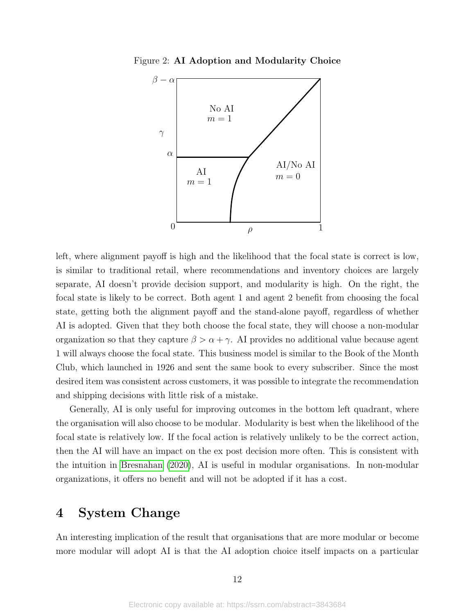<span id="page-11-0"></span>Figure 2: AI Adoption and Modularity Choice



left, where alignment payoff is high and the likelihood that the focal state is correct is low, is similar to traditional retail, where recommendations and inventory choices are largely separate, AI doesn't provide decision support, and modularity is high. On the right, the focal state is likely to be correct. Both agent 1 and agent 2 benefit from choosing the focal state, getting both the alignment payoff and the stand-alone payoff, regardless of whether AI is adopted. Given that they both choose the focal state, they will choose a non-modular organization so that they capture  $\beta > \alpha + \gamma$ . AI provides no additional value because agent 1 will always choose the focal state. This business model is similar to the Book of the Month Club, which launched in 1926 and sent the same book to every subscriber. Since the most desired item was consistent across customers, it was possible to integrate the recommendation and shipping decisions with little risk of a mistake.

Generally, AI is only useful for improving outcomes in the bottom left quadrant, where the organisation will also choose to be modular. Modularity is best when the likelihood of the focal state is relatively low. If the focal action is relatively unlikely to be the correct action, then the AI will have an impact on the ex post decision more often. This is consistent with the intuition in [Bresnahan](#page-17-5) [\(2020\)](#page-17-5), AI is useful in modular organisations. In non-modular organizations, it offers no benefit and will not be adopted if it has a cost.

## 4 System Change

An interesting implication of the result that organisations that are more modular or become more modular will adopt AI is that the AI adoption choice itself impacts on a particular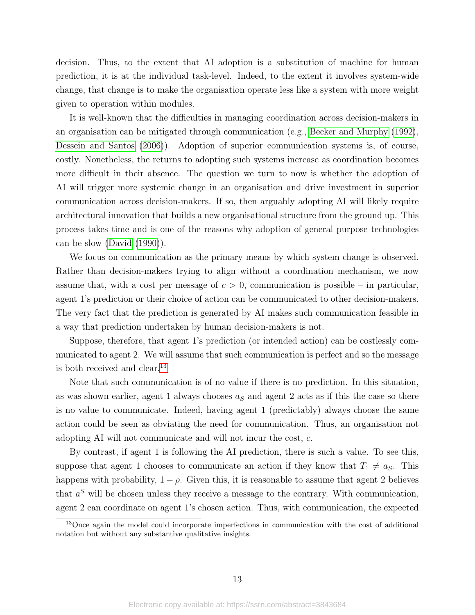decision. Thus, to the extent that AI adoption is a substitution of machine for human prediction, it is at the individual task-level. Indeed, to the extent it involves system-wide change, that change is to make the organisation operate less like a system with more weight given to operation within modules.

It is well-known that the difficulties in managing coordination across decision-makers in an organisation can be mitigated through communication (e.g., [Becker and Murphy](#page-17-11) [\(1992\)](#page-17-11), [Dessein and Santos](#page-18-11) [\(2006\)](#page-18-11)). Adoption of superior communication systems is, of course, costly. Nonetheless, the returns to adopting such systems increase as coordination becomes more difficult in their absence. The question we turn to now is whether the adoption of AI will trigger more systemic change in an organisation and drive investment in superior communication across decision-makers. If so, then arguably adopting AI will likely require architectural innovation that builds a new organisational structure from the ground up. This process takes time and is one of the reasons why adoption of general purpose technologies can be slow [\(David](#page-18-12) [\(1990\)](#page-18-12)).

We focus on communication as the primary means by which system change is observed. Rather than decision-makers trying to align without a coordination mechanism, we now assume that, with a cost per message of  $c > 0$ , communication is possible – in particular, agent 1's prediction or their choice of action can be communicated to other decision-makers. The very fact that the prediction is generated by AI makes such communication feasible in a way that prediction undertaken by human decision-makers is not.

Suppose, therefore, that agent 1's prediction (or intended action) can be costlessly communicated to agent 2. We will assume that such communication is perfect and so the message is both received and clear.<sup>[13](#page-12-0)</sup>

Note that such communication is of no value if there is no prediction. In this situation, as was shown earlier, agent 1 always chooses  $a<sub>S</sub>$  and agent 2 acts as if this the case so there is no value to communicate. Indeed, having agent 1 (predictably) always choose the same action could be seen as obviating the need for communication. Thus, an organisation not adopting AI will not communicate and will not incur the cost, c.

By contrast, if agent 1 is following the AI prediction, there is such a value. To see this, suppose that agent 1 chooses to communicate an action if they know that  $T_1 \neq a_S$ . This happens with probability,  $1 - \rho$ . Given this, it is reasonable to assume that agent 2 believes that  $a^S$  will be chosen unless they receive a message to the contrary. With communication, agent 2 can coordinate on agent 1's chosen action. Thus, with communication, the expected

<span id="page-12-0"></span><sup>&</sup>lt;sup>13</sup>Once again the model could incorporate imperfections in communication with the cost of additional notation but without any substantive qualitative insights.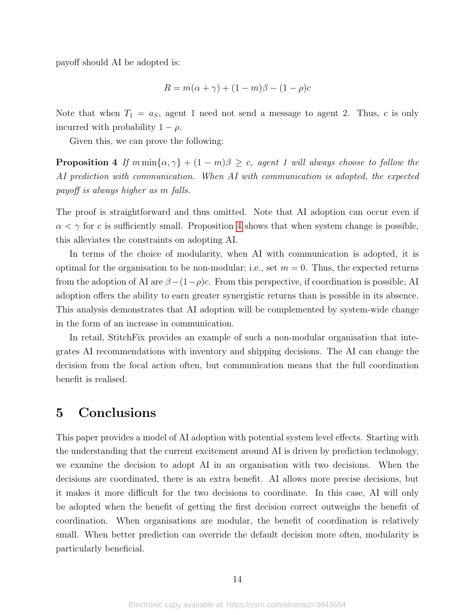payoff should AI be adopted is:

<span id="page-13-0"></span>
$$
R = m(\alpha + \gamma) + (1 - m)\beta - (1 - \rho)c
$$

Note that when  $T_1 = a_S$ , agent 1 need not send a message to agent 2. Thus, c is only incurred with probability  $1 - \rho$ .

Given this, we can prove the following:

**Proposition 4** If  $m \min\{\alpha, \gamma\} + (1 - m)\beta \geq c$ , agent 1 will always choose to follow the AI prediction with communication. When AI with communication is adopted, the expected payoff is always higher as m falls.

The proof is straightforward and thus omitted. Note that AI adoption can occur even if  $\alpha < \gamma$  for c is sufficiently small. Proposition [4](#page-13-0) shows that when system change is possible, this alleviates the constraints on adopting AI.

In terms of the choice of modularity, when AI with communication is adopted, it is optimal for the organisation to be non-modular; i.e., set  $m = 0$ . Thus, the expected returns from the adoption of AI are  $\beta-(1-\rho)c$ . From this perspective, if coordination is possible, AI adoption offers the ability to earn greater synergistic returns than is possible in its absence. This analysis demonstrates that AI adoption will be complemented by system-wide change in the form of an increase in communication.

In retail, StitchFix provides an example of such a non-modular organisation that integrates AI recommendations with inventory and shipping decisions. The AI can change the decision from the focal action often, but communication means that the full coordination benefit is realised.

### 5 Conclusions

This paper provides a model of AI adoption with potential system level effects. Starting with the understanding that the current excitement around AI is driven by prediction technology, we examine the decision to adopt AI in an organisation with two decisions. When the decisions are coordinated, there is an extra benefit. AI allows more precise decisions, but it makes it more difficult for the two decisions to coordinate. In this case, AI will only be adopted when the benefit of getting the first decision correct outweighs the benefit of coordination. When organisations are modular, the benefit of coordination is relatively small. When better prediction can override the default decision more often, modularity is particularly beneficial.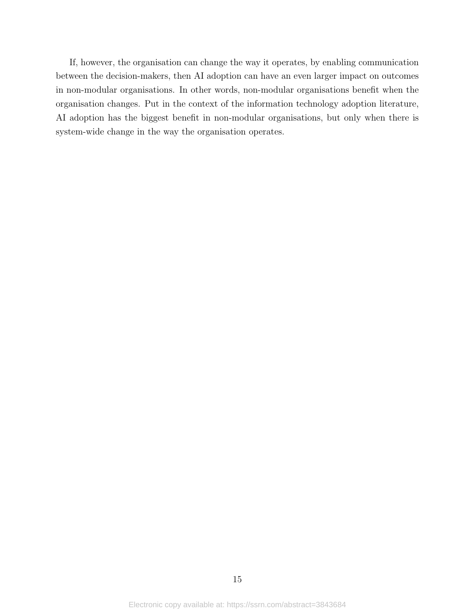If, however, the organisation can change the way it operates, by enabling communication between the decision-makers, then AI adoption can have an even larger impact on outcomes in non-modular organisations. In other words, non-modular organisations benefit when the organisation changes. Put in the context of the information technology adoption literature, AI adoption has the biggest benefit in non-modular organisations, but only when there is system-wide change in the way the organisation operates.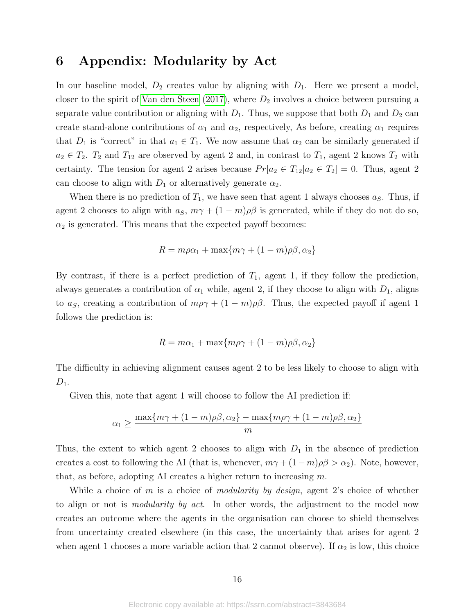### 6 Appendix: Modularity by Act

In our baseline model,  $D_2$  creates value by aligning with  $D_1$ . Here we present a model, closer to the spirit of [Van den Steen](#page-18-7)  $(2017)$ , where  $D_2$  involves a choice between pursuing a separate value contribution or aligning with  $D_1$ . Thus, we suppose that both  $D_1$  and  $D_2$  can create stand-alone contributions of  $\alpha_1$  and  $\alpha_2$ , respectively, As before, creating  $\alpha_1$  requires that  $D_1$  is "correct" in that  $a_1 \in T_1$ . We now assume that  $\alpha_2$  can be similarly generated if  $a_2 \in T_2$ .  $T_2$  and  $T_{12}$  are observed by agent 2 and, in contrast to  $T_1$ , agent 2 knows  $T_2$  with certainty. The tension for agent 2 arises because  $Pr[a_2 \in T_{12}|a_2 \in T_2] = 0$ . Thus, agent 2 can choose to align with  $D_1$  or alternatively generate  $\alpha_2$ .

When there is no prediction of  $T_1$ , we have seen that agent 1 always chooses  $a_S$ . Thus, if agent 2 chooses to align with  $a_s$ ,  $m\gamma + (1 - m)\rho\beta$  is generated, while if they do not do so,  $\alpha_2$  is generated. This means that the expected payoff becomes:

$$
R = m\rho\alpha_1 + \max\{m\gamma + (1 - m)\rho\beta, \alpha_2\}
$$

By contrast, if there is a perfect prediction of  $T_1$ , agent 1, if they follow the prediction, always generates a contribution of  $\alpha_1$  while, agent 2, if they choose to align with  $D_1$ , aligns to as, creating a contribution of  $m\rho\gamma + (1 - m)\rho\beta$ . Thus, the expected payoff if agent 1 follows the prediction is:

$$
R = m\alpha_1 + \max\{m\rho\gamma + (1 - m)\rho\beta, \alpha_2\}
$$

The difficulty in achieving alignment causes agent 2 to be less likely to choose to align with  $D_1$ .

Given this, note that agent 1 will choose to follow the AI prediction if:

$$
\alpha_1 \ge \frac{\max\{m\gamma + (1-m)\rho\beta, \alpha_2\} - \max\{m\rho\gamma + (1-m)\rho\beta, \alpha_2\}}{m}
$$

Thus, the extent to which agent 2 chooses to align with  $D_1$  in the absence of prediction creates a cost to following the AI (that is, whenever,  $m\gamma + (1-m)\rho\beta > \alpha_2$ ). Note, however, that, as before, adopting AI creates a higher return to increasing  $m$ .

While a choice of m is a choice of modularity by design, agent  $2$ 's choice of whether to align or not is modularity by act. In other words, the adjustment to the model now creates an outcome where the agents in the organisation can choose to shield themselves from uncertainty created elsewhere (in this case, the uncertainty that arises for agent 2 when agent 1 chooses a more variable action that 2 cannot observe). If  $\alpha_2$  is low, this choice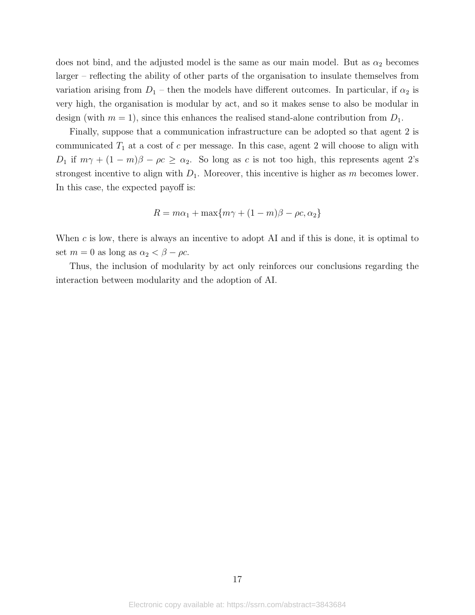does not bind, and the adjusted model is the same as our main model. But as  $\alpha_2$  becomes larger – reflecting the ability of other parts of the organisation to insulate themselves from variation arising from  $D_1$  – then the models have different outcomes. In particular, if  $\alpha_2$  is very high, the organisation is modular by act, and so it makes sense to also be modular in design (with  $m = 1$ ), since this enhances the realised stand-alone contribution from  $D_1$ .

Finally, suppose that a communication infrastructure can be adopted so that agent 2 is communicated  $T_1$  at a cost of c per message. In this case, agent 2 will choose to align with D<sub>1</sub> if  $m\gamma + (1 - m)\beta - \rho c \ge \alpha_2$ . So long as c is not too high, this represents agent 2's strongest incentive to align with  $D_1$ . Moreover, this incentive is higher as m becomes lower. In this case, the expected payoff is:

$$
R = m\alpha_1 + \max\{m\gamma + (1 - m)\beta - \rho c, \alpha_2\}
$$

When  $c$  is low, there is always an incentive to adopt AI and if this is done, it is optimal to set  $m = 0$  as long as  $\alpha_2 < \beta - \rho c$ .

Thus, the inclusion of modularity by act only reinforces our conclusions regarding the interaction between modularity and the adoption of AI.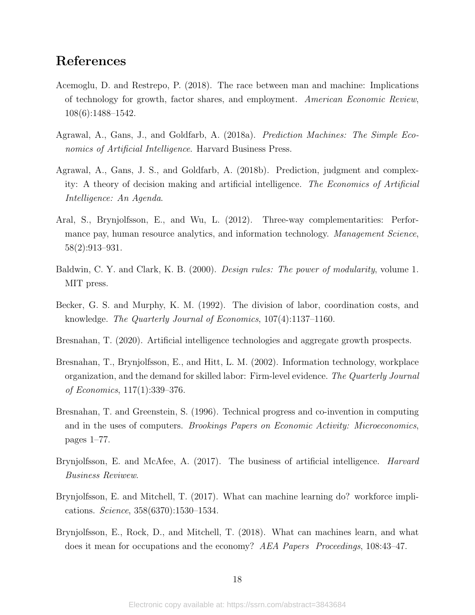## References

- <span id="page-17-2"></span>Acemoglu, D. and Restrepo, P. (2018). The race between man and machine: Implications of technology for growth, factor shares, and employment. American Economic Review, 108(6):1488–1542.
- <span id="page-17-0"></span>Agrawal, A., Gans, J., and Goldfarb, A. (2018a). Prediction Machines: The Simple Economics of Artificial Intelligence. Harvard Business Press.
- <span id="page-17-10"></span>Agrawal, A., Gans, J. S., and Goldfarb, A. (2018b). Prediction, judgment and complexity: A theory of decision making and artificial intelligence. The Economics of Artificial Intelligence: An Agenda.
- <span id="page-17-8"></span>Aral, S., Brynjolfsson, E., and Wu, L. (2012). Three-way complementarities: Performance pay, human resource analytics, and information technology. Management Science, 58(2):913–931.
- <span id="page-17-9"></span>Baldwin, C. Y. and Clark, K. B. (2000). *Design rules: The power of modularity*, volume 1. MIT press.
- <span id="page-17-11"></span>Becker, G. S. and Murphy, K. M. (1992). The division of labor, coordination costs, and knowledge. The Quarterly Journal of Economics, 107(4):1137–1160.
- <span id="page-17-5"></span>Bresnahan, T. (2020). Artificial intelligence technologies and aggregate growth prospects.
- <span id="page-17-7"></span>Bresnahan, T., Brynjolfsson, E., and Hitt, L. M. (2002). Information technology, workplace organization, and the demand for skilled labor: Firm-level evidence. The Quarterly Journal of Economics, 117(1):339–376.
- <span id="page-17-6"></span>Bresnahan, T. and Greenstein, S. (1996). Technical progress and co-invention in computing and in the uses of computers. Brookings Papers on Economic Activity: Microeconomics, pages 1–77.
- <span id="page-17-1"></span>Brynjolfsson, E. and McAfee, A. (2017). The business of artificial intelligence. *Harvard* Business Reviwew.
- <span id="page-17-3"></span>Brynjolfsson, E. and Mitchell, T. (2017). What can machine learning do? workforce implications. Science, 358(6370):1530–1534.
- <span id="page-17-4"></span>Brynjolfsson, E., Rock, D., and Mitchell, T. (2018). What can machines learn, and what does it mean for occupations and the economy? AEA Papers Proceedings, 108:43–47.